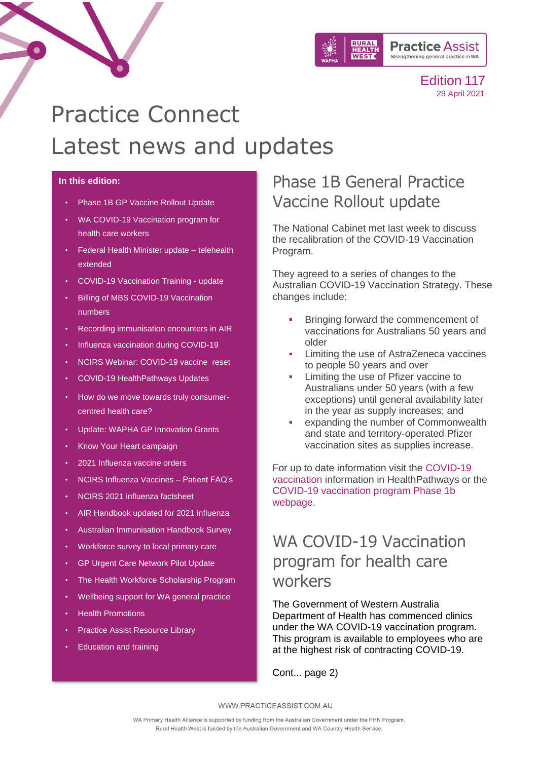

# Practice Connect Latest news and updates

### **In this edition:**

- [Phase 1B GP Vaccine Rollout Update](#page-0-0)
- WA COVID-19 Vaccination program for [health care workers](#page-0-1)
- [Federal Health Minister update –](#page-1-0) telehealth [extended](#page-1-0)
- [COVID-19 Vaccination Training -](#page-1-1) update
- **Billing of MBS COVID-19 Vaccination** numbers
- [Recording immunisation encounters in AIR](#page-1-2)
- [Influenza vaccination during COVID-19](#page-2-0)
- [NCIRS Webinar: COVID-19 vaccine reset](#page-2-1)
- [COVID-19 HealthPathways Updates](#page-3-0)
- [How do we move towards truly consumer](#page-4-0)[centred health care?](#page-4-0)
- [Update: WAPHA GP Innovation Grants](#page-4-1)
- [Know Your Heart campaign](#page-5-0)
- [2021 Influenza vaccine orders](#page-6-0)
- [NCIRS Influenza Vaccines –](#page-6-1) Patient FAQ's
- [NCIRS 2021 influenza factsheet](#page-6-2)
- [AIR Handbook updated for 2021 influenza](#page-6-3)
- [Australian Immunisation Handbook Survey](#page-6-4)
- [Workforce survey to local primary care](#page-7-0)
- [GP Urgent Care Network Pilot Update](#page-8-0)
- [The Health Workforce](#page-10-0) Scholarship Program
- [Wellbeing support for WA general practice](#page-9-0)
- [Health Promotions](#page-10-1)
- [Practice Assist Resource Library](#page-11-0)
- **[Education and training](#page-12-0)**

## <span id="page-0-0"></span>Phase 1B General Practice Vaccine Rollout update

The National Cabinet met last week to discuss the recalibration of the COVID-19 Vaccination Program.

They agreed to a series of changes to the Australian COVID-19 Vaccination Strategy. These changes include:

- Bringing forward the commencement of vaccinations for Australians 50 years and older
- Limiting the use of AstraZeneca vaccines to people 50 years and over
- Limiting the use of Pfizer vaccine to Australians under 50 years (with a few exceptions) until general availability later in the year as supply increases; and
- expanding the number of Commonwealth and state and territory-operated Pfizer vaccination sites as supplies increase.

For up to date information visit the [COVID-19](https://wa.communityhealthpathways.org/839877.htm)  [vaccination](https://wa.communityhealthpathways.org/839877.htm) information in HealthPathways or the [COVID-19 vaccination program Phase 1b](https://www.health.gov.au/initiatives-and-programs/covid-19-vaccines/phase-1b)  [webpage.](https://www.health.gov.au/initiatives-and-programs/covid-19-vaccines/phase-1b)

## <span id="page-0-1"></span>WA COVID-19 Vaccination program for health care workers

The Government of Western Australia Department of Health has commenced clinics under the WA COVID-19 vaccination program. This program is available to employees who are at the highest risk of contracting COVID-19.

Cont... page 2)

WWW.PRACTICEASSIST.COM.AU

WA Primary Health Alliance is supported by funding from the Australian Government under the PHN Program. Rural Health West is funded by the Australian Government and WA Country Health Service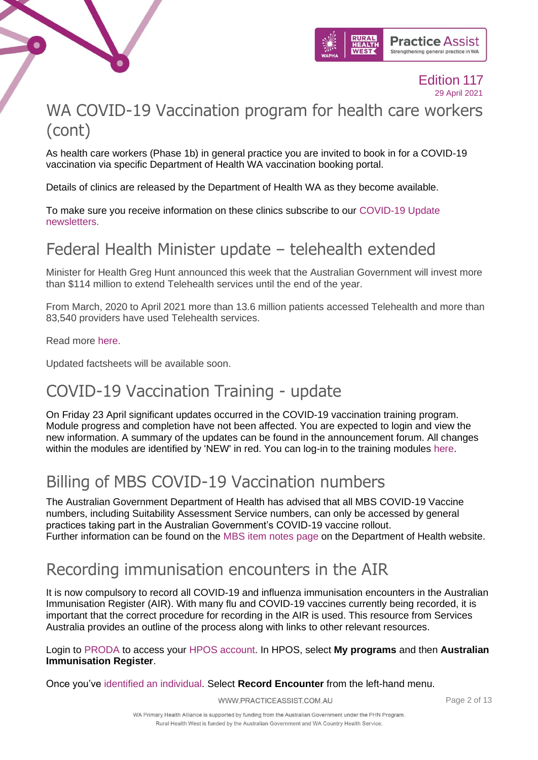



## WA COVID-19 Vaccination program for health care workers (cont)

As health care workers (Phase 1b) in general practice you are invited to book in for a COVID-19 vaccination via specific Department of Health WA vaccination booking portal.

Details of clinics are released by the Department of Health WA as they become available.

To make sure you receive information on these clinics subscribe to our [COVID-19 Update](https://mailchi.mp/practiceassist/04j4p7qxvh)  [newsletters.](https://mailchi.mp/practiceassist/04j4p7qxvh)

## <span id="page-1-0"></span>Federal Health Minister update – telehealth extended

Minister for Health Greg Hunt announced this week that the Australian Government will invest more than \$114 million to extend Telehealth services until the end of the year.

From March, 2020 to April 2021 more than 13.6 million patients accessed Telehealth and more than 83,540 providers have used Telehealth services.

Read more [here.](https://www.health.gov.au/ministers/the-hon-greg-hunt-mp/media/universal-telehealth-extended-through-2021)

Updated factsheets will be available soon.

## <span id="page-1-1"></span>COVID-19 Vaccination Training - update

On Friday 23 April significant updates occurred in the COVID-19 vaccination training program. Module progress and completion have not been affected. You are expected to login and view the new information. A summary of the updates can be found in the announcement forum. All changes within the modules are identified by 'NEW' in red. You can log-in to the training modules [here.](https://covid19vaccinationtraining.org.au/login/index.php)

## Billing of MBS COVID-19 Vaccination numbers

The Australian Government Department of Health has advised that all MBS COVID-19 Vaccine numbers, including Suitability Assessment Service numbers, can only be accessed by general practices taking part in the Australian Government's COVID-19 vaccine rollout. Further information can be found on the [MBS item notes page](https://linkprotect.cudasvc.com/url?a=https%3a%2f%2fwapha.us11.list-manage.com%2ftrack%2fclick%3fu%3dc973db7b85e56f4c3d0eaacee%26id%3de1899acb58%26e%3df34f3bfedc&c=E,1,RAHxe-lYKd7tJjKqx7VIy3CRFw8PjDgXxAk9FHvWC7y103qGDI8JtjB8LFUm8wWbE5WgV4seTL9_80Rv_XXdx8vOyulmeJfXEi6DiCm-&typo=1) on the Department of Health website.

## <span id="page-1-2"></span>Recording immunisation encounters in the AIR

It is now compulsory to record all COVID-19 and influenza immunisation encounters in the Australian Immunisation Register (AIR). With many flu and COVID-19 vaccines currently being recorded, it is important that the correct procedure for recording in the AIR is used. This resource from Services Australia provides an outline of the process along with links to other relevant resources.

Login to [PRODA](https://proda.humanservices.gov.au/prodalogin/pages/public/login.jsf?TAM_OP=login&USER) to access your [HPOS account.](https://www.servicesaustralia.gov.au/organisations/health-professionals/services/medicare/hpos) In HPOS, select **My programs** and then **Australian Immunisation Register**.

Once you've [identified an individual.](https://www.servicesaustralia.gov.au/organisations/health-professionals/topics/identify-individual-air-site-using-hpos/47491) Select **Record Encounter** from the left-hand menu.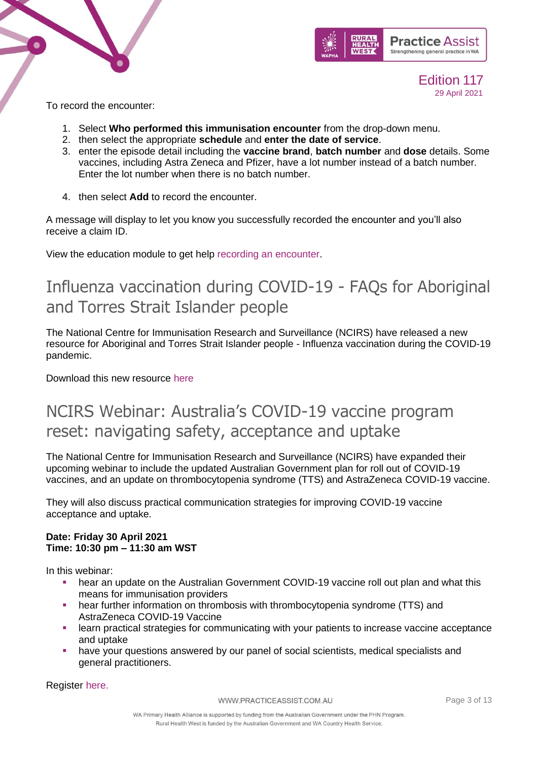



To record the encounter:

- 1. Select **Who performed this immunisation encounter** from the drop-down menu.
- 2. then select the appropriate **schedule** and **enter the date of service**.
- 3. enter the episode detail including the **vaccine brand**, **batch number** and **dose** details. Some vaccines, including Astra Zeneca and Pfizer, have a lot number instead of a batch number. Enter the lot number when there is no batch number.
- 4. then select **Add** to record the encounter.

A message will display to let you know you successfully recorded the encounter and you'll also receive a claim ID.

View the education module to get help [recording an encounter.](http://medicareaust.com/MODULES/AIR/AIRM04/index.html)

## <span id="page-2-0"></span>[Influenza vaccination during COVID-19 -](https://linkprotect.cudasvc.com/url?a=https%3a%2f%2fncirs.cmail19.com%2ft%2ft-l-mdjhijk-ejtjjtdtk-m%2f&c=E,1,0rfDx1TtxV4_pRdeedFDwr-fnIZ7S1CheJYj3KXQ50TRtX8N7Uq-dc5Sd-NdrkB9TIvN3JrZuK8H6nR5jX9Y4QbaycpbdgE5H2Ay61YiHpwlvhddPb9KrCtVk3FP&typo=1) FAQs for Aboriginal [and Torres Strait Islander people](https://linkprotect.cudasvc.com/url?a=https%3a%2f%2fncirs.cmail19.com%2ft%2ft-l-mdjhijk-ejtjjtdtk-m%2f&c=E,1,0rfDx1TtxV4_pRdeedFDwr-fnIZ7S1CheJYj3KXQ50TRtX8N7Uq-dc5Sd-NdrkB9TIvN3JrZuK8H6nR5jX9Y4QbaycpbdgE5H2Ay61YiHpwlvhddPb9KrCtVk3FP&typo=1)

The National Centre for Immunisation Research and Surveillance (NCIRS) have released a new resource for Aboriginal and Torres Strait Islander people - Influenza vaccination during the COVID-19 pandemic.

Download this new resource [here](https://www.ncirs.org.au/influenza-vaccination-during-covid-19-faqs-aboriginal-and-torres-strait-islander-people?utm_medium=email&utm_campaign=16042021%20-%20Weekly%20Jab&utm_content=16042021%20-%20Weekly%20Jab+CID_baae5417b6136923a97b165e8eea20b6&utm_source=eDM&utm_term=Influenza%20vaccination%20during%20COVID-19%20-%20FAQs%20for%20Aboriginal%20and%20Torres%20Strait%20Islander%20people)

## <span id="page-2-1"></span>NCIRS Webinar: Australia's COVID-19 vaccine program reset: navigating safety, acceptance and uptake

The National Centre for Immunisation Research and Surveillance (NCIRS) have expanded their upcoming webinar to include the updated Australian Government plan for roll out of COVID-19 vaccines, and an update on thrombocytopenia syndrome (TTS) and AstraZeneca COVID-19 vaccine.

They will also discuss practical communication strategies for improving COVID-19 vaccine acceptance and uptake.

### **Date: Friday 30 April 2021 Time: 10:30 pm – 11:30 am WST**

In this webinar:

- **hear an update on the Australian Government COVID-19 vaccine roll out plan and what this** means for immunisation providers
- hear further information on thrombosis with thrombocytopenia syndrome (TTS) and AstraZeneca COVID-19 Vaccine
- **Learn practical strategies for communicating with your patients to increase vaccine acceptance** and uptake
- **•** have your questions answered by our panel of social scientists, medical specialists and general practitioners.

Register [here.](https://us02web.zoom.us/webinar/register/WN_dAxq0oHjQImamxq_f1zs5g)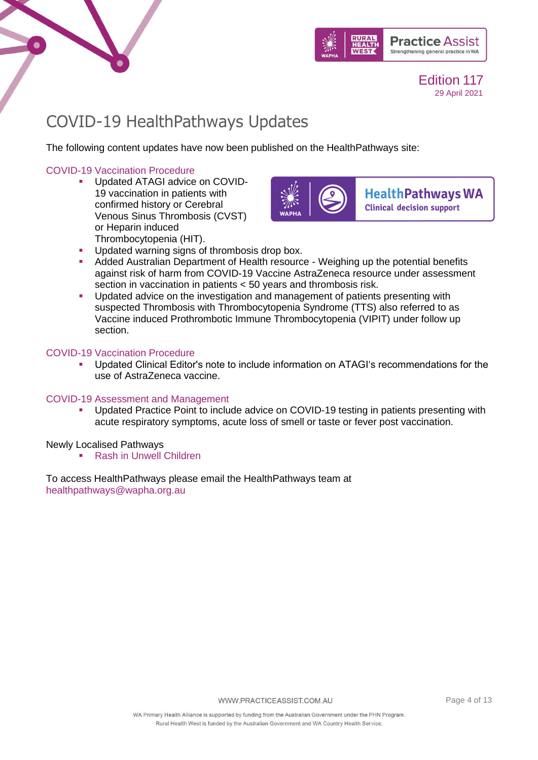



## <span id="page-3-0"></span>COVID-19 HealthPathways Updates

The following content updates have now been published on the HealthPathways site:

## [COVID-19 Vaccination Procedure](https://linkprotect.cudasvc.com/url?a=https%3a%2f%2fwapha.us11.list-manage.com%2ftrack%2fclick%3fu%3dc973db7b85e56f4c3d0eaacee%26id%3de741a59e54%26e%3d02c79a9d9f&c=E,1,uskeyqIqhlZoL5c7VwBhAeKfi5QBZ8gT3lcGojuFJOjPkjOmKvv_yTqh_28X-b1f6SlzZQDpLb7akxzQ5xynJhazN15THeH5FgNu8qkwHp47UUf92lZq&typo=1)

**■** Updated ATAGI advice on COVID-19 vaccination in patients with confirmed history or Cerebral Venous Sinus Thrombosis (CVST) or Heparin induced Thrombocytopenia (HIT).



**HealthPathways WA Clinical decision support** 

- **Updated warning signs of thrombosis drop box.**
- Added Australian Department of Health resource Weighing up the potential benefits against risk of harm from COVID-19 Vaccine AstraZeneca resource under assessment section in vaccination in patients < 50 years and thrombosis risk.
- **•** Updated advice on the investigation and management of patients presenting with suspected Thrombosis with Thrombocytopenia Syndrome (TTS) also referred to as Vaccine induced Prothrombotic Immune Thrombocytopenia (VIPIT) under follow up section.

### [COVID-19 Vaccination Procedure](https://linkprotect.cudasvc.com/url?a=https%3a%2f%2fwapha.us11.list-manage.com%2ftrack%2fclick%3fu%3dc973db7b85e56f4c3d0eaacee%26id%3df6254e6360%26e%3d02c79a9d9f&c=E,1,p4SnmAwl79Hj3Kb2oMMMyZVB5z2YTo4Rn1S2Gvn4uMuivGOxYqPMJEp_C_R073-dO-ZoN4_LukPBKa14fIkZC9KsdeIe3YZBR9hq8LD_Otw120cZ-3wJS6v3DAg,&typo=1)

Updated Clinical Editor's note to include information on ATAGI's recommendations for the use of AstraZeneca vaccine.

### [COVID-19 Assessment and Management](https://linkprotect.cudasvc.com/url?a=https%3a%2f%2fwapha.us11.list-manage.com%2ftrack%2fclick%3fu%3dc973db7b85e56f4c3d0eaacee%26id%3d5f4f078a94%26e%3d02c79a9d9f&c=E,1,_tW7EzcuYF4-H6VLDcdA7pW4C9OQ5mssWvj20nH8uEywESP5AeHwg3QFbBLP6xlUofdfVKc3Do6P-ykFmWmcpgFPBwellXt1XcpYWJmooRWL&typo=1)

■ Updated Practice Point to include advice on COVID-19 testing in patients presenting with acute respiratory symptoms, acute loss of smell or taste or fever post vaccination.

Newly Localised Pathways

■ [Rash in Unwell Children](https://wa.communityhealthpathways.org/311855.htm)

To access HealthPathways please email the HealthPathways team at [healthpathways@wapha.org.au](mailto:healthpathways@wapha.org.au)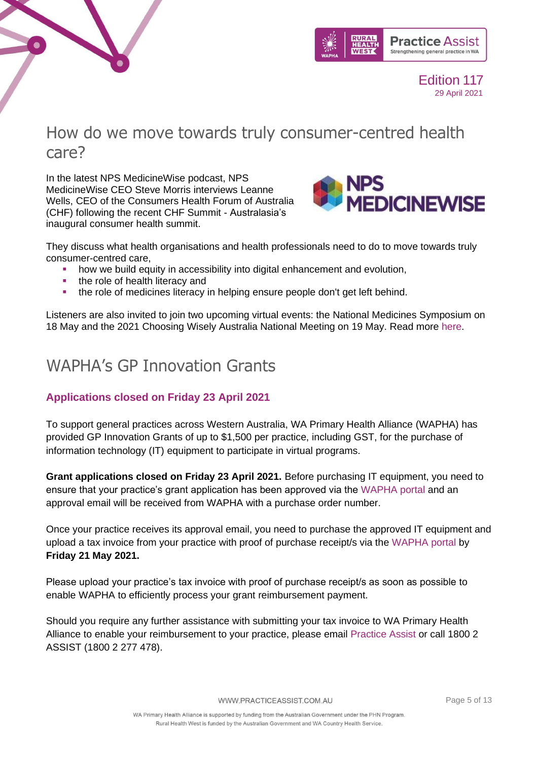



## <span id="page-4-0"></span>How do we move towards truly consumer-centred health care?

In the latest NPS MedicineWise podcast, NPS MedicineWise CEO Steve Morris interviews Leanne Wells, CEO of the Consumers Health Forum of Australia (CHF) following the recent CHF Summit - Australasia's inaugural consumer health summit.



They discuss what health organisations and health professionals need to do to move towards truly consumer-centred care,

- how we build equity in accessibility into digital enhancement and evolution,
- the role of health literacy and
- the role of medicines literacy in helping ensure people don't get left behind.

Listeners are also invited to join two upcoming virtual events: the National Medicines Symposium on 18 May and the 2021 Choosing Wisely Australia National Meeting on 19 May. Read more [here.](https://www.nps.org.au/podcast/episode-25-how-do-we-move-towards-truly-consumer-centred-health-care.)

## <span id="page-4-1"></span>WAPHA's GP Innovation Grants

## **Applications closed on Friday 23 April 2021**

To support general practices across Western Australia, WA Primary Health Alliance (WAPHA) has provided GP Innovation Grants of up to \$1,500 per practice, including GST, for the purchase of information technology (IT) equipment to participate in virtual programs.

**Grant applications closed on Friday 23 April 2021.** Before purchasing IT equipment, you need to ensure that your practice's grant application has been approved via the [WAPHA portal](https://portal.wapha.org.au/SignIn?ReturnUrl=%2F) and an approval email will be received from WAPHA with a purchase order number.

Once your practice receives its approval email, you need to purchase the approved IT equipment and upload a tax invoice from your practice with proof of purchase receipt/s via the [WAPHA portal](https://portal.wapha.org.au/SignIn?ReturnUrl=%2F) by **Friday 21 May 2021.**

Please upload your practice's tax invoice with proof of purchase receipt/s as soon as possible to enable WAPHA to efficiently process your grant reimbursement payment.

Should you require any further assistance with submitting your tax invoice to WA Primary Health Alliance to enable your reimbursement to your practice, please email [Practice Assist](mailto:practiceassist@wapha.org.au) or call 1800 2 ASSIST (1800 2 277 478).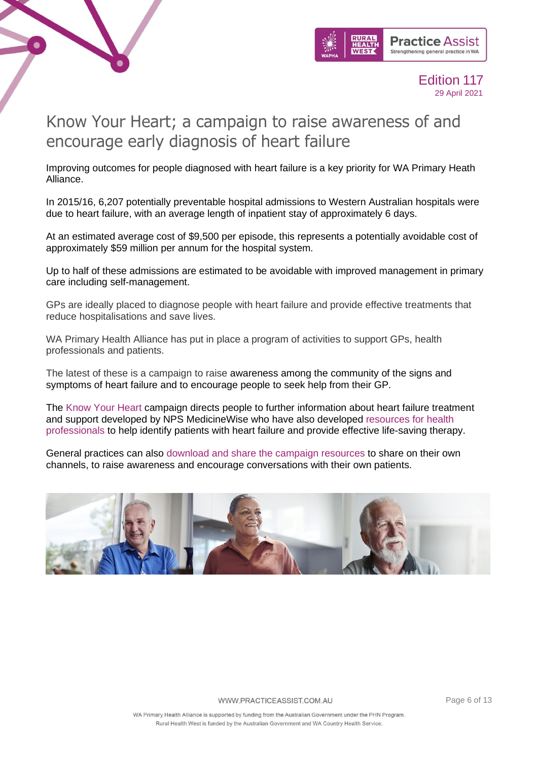



## <span id="page-5-0"></span>Know Your Heart; a campaign to raise awareness of and encourage early diagnosis of heart failure

Improving outcomes for people diagnosed with heart failure is a key priority for WA Primary Heath Alliance.

In 2015/16, 6,207 potentially preventable hospital admissions to Western Australian hospitals were due to heart failure, with an average length of inpatient stay of approximately 6 days.

At an estimated average cost of \$9,500 per episode, this represents a potentially avoidable cost of approximately \$59 million per annum for the hospital system.

Up to half of these admissions are estimated to be avoidable with improved management in primary care including self-management.

GPs are ideally placed to diagnose people with heart failure and provide effective treatments that reduce hospitalisations and save lives.

WA Primary Health Alliance has put in place a program of activities to support GPs, health professionals and patients.

The latest of these is a campaign to raise awareness among the community of the signs and symptoms of heart failure and to encourage people to seek help from their GP.

The [Know Your Heart](http://www.knowyourheart.org.au/) campaign directs people to further information about heart failure treatment and support developed by NPS MedicineWise who have also developed [resources for health](https://www.nps.org.au/professionals/heart-failure-taking-an-active-role)  [professionals](https://www.nps.org.au/professionals/heart-failure-taking-an-active-role) to help identify patients with heart failure and provide effective life-saving therapy.

General practices can also [download and share the campaign resources](https://thesocialpresskit.com/know-your-heart) to share on their own channels, to raise awareness and encourage conversations with their own patients.

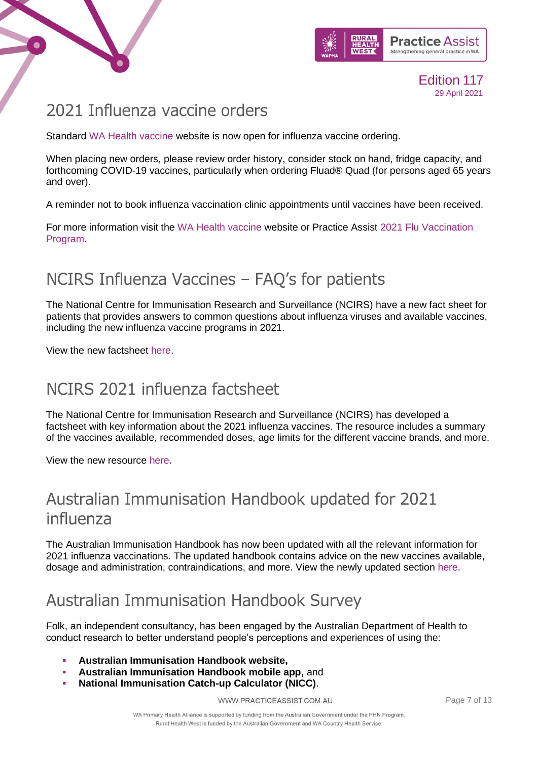



## <span id="page-6-0"></span>2021 Influenza vaccine orders

Standard [WA Health vaccine](https://wa.tollhealthcare.com/) website is now open for influenza vaccine ordering.

When placing new orders, please review order history, consider stock on hand, fridge capacity, and forthcoming COVID-19 vaccines, particularly when ordering Fluad® Quad (for persons aged 65 years and over).

A reminder not to book influenza vaccination clinic appointments until vaccines have been received.

For more information visit the [WA Health vaccine](https://wa.tollhealthcare.com/) website or Practice Assist [2021 Flu Vaccination](https://www.practiceassist.com.au/Coronavirus-COVID19/2021-Flu-Vaccination-Program)  [Program.](https://www.practiceassist.com.au/Coronavirus-COVID19/2021-Flu-Vaccination-Program)

## <span id="page-6-1"></span>NCIRS Influenza Vaccines – FAQ's for patients

The National Centre for Immunisation Research and Surveillance (NCIRS) have a new fact sheet for patients that provides answers to common questions about influenza viruses and available vaccines, including the new influenza vaccine programs in 2021.

View the new factsheet [here.](https://www.ncirs.org.au/sites/default/files/2021-03/Influenza%20vaccines-FAQs_%2026%20March%202021_Final.pdf)

## <span id="page-6-2"></span>NCIRS 2021 influenza factsheet

The National Centre for Immunisation Research and Surveillance (NCIRS) has developed a factsheet with key information about the 2021 influenza vaccines. The resource includes a summary of the vaccines available, recommended doses, age limits for the different vaccine brands, and more.

View the new resource [here.](https://www.ncirs.org.au/sites/default/files/2021-03/Influenza-fact-sheet_31%20March%202021_Final.pdf)

## <span id="page-6-3"></span>Australian Immunisation Handbook updated for 2021 influenza

The Australian Immunisation Handbook has now been updated with all the relevant information for 2021 influenza vaccinations. The updated handbook contains advice on the new vaccines available, dosage and administration, contraindications, and more. View the newly updated section [here.](https://immunisationhandbook.health.gov.au/vaccine-preventable-diseases/influenza-flu)

## <span id="page-6-4"></span>Australian Immunisation Handbook Survey

Folk, an independent consultancy, has been engaged by the Australian Department of Health to conduct research to better understand people's perceptions and experiences of using the:

- **Australian Immunisation Handbook website,**
- **Australian Immunisation Handbook mobile app, and**
- **National Immunisation Catch-up Calculator (NICC).**

WWW.PRACTICEASSIST.COM.AU

Page 7 of 13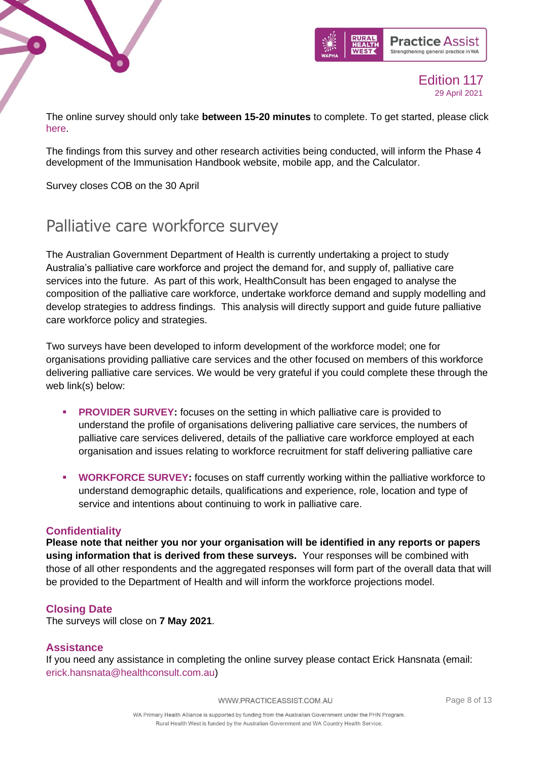



The online survey should only take **between 15-20 minutes** to complete. To get started, please click [here.](https://thefolk.optimalworkshop.com/questions/doh-aih-depp4-discover-r1)

The findings from this survey and other research activities being conducted, will inform the Phase 4 development of the Immunisation Handbook website, mobile app, and the Calculator.

Survey closes COB on the 30 April

## <span id="page-7-0"></span>Palliative care workforce survey

The Australian Government Department of Health is currently undertaking a project to study Australia's palliative care workforce and project the demand for, and supply of, palliative care services into the future. As part of this work, HealthConsult has been engaged to analyse the composition of the palliative care workforce, undertake workforce demand and supply modelling and develop strategies to address findings. This analysis will directly support and guide future palliative care workforce policy and strategies.

Two surveys have been developed to inform development of the workforce model; one for organisations providing palliative care services and the other focused on members of this workforce delivering palliative care services. We would be very grateful if you could complete these through the web link(s) below:

- **[PROVIDER SURVEY:](https://linkprotect.cudasvc.com/url?a=https%3a%2f%2fform.jotform.co%2fhcsurvey%2fpalliative-care-services-survey&c=E,1,c0504yYqCsK8tVzDSi55mxxK6mQm5v4vdSbcbB2koZiRjUzzuTjlb_Dr7tlyN3oGgeDRmLUXP5Cr_qz3c-ubA8c8yCqOA5-fyBcd3pSPSc4,&typo=1)** focuses on the setting in which palliative care is provided to understand the profile of organisations delivering palliative care services, the numbers of palliative care services delivered, details of the palliative care workforce employed at each organisation and issues relating to workforce recruitment for staff delivering palliative care
- **[WORKFORCE SURVEY:](https://linkprotect.cudasvc.com/url?a=https%3a%2f%2fform.jotform.co%2fhcsurvey%2fpalliative-care-workforce-survey&c=E,1,q5ee9NmJjQGXj4_RAG4GpBKYBbvIeAKpdKDzzV5PEvm2a-CMS-1fqEtH56FHKzpaEPOCEr9Pos-_Eelz_xHb-0xwne6R4OnQ11yvp127uJ8Zmj51FYSTNA,,&typo=1)** focuses on staff currently working within the palliative workforce to understand demographic details, qualifications and experience, role, location and type of service and intentions about continuing to work in palliative care.

### **Confidentiality**

**Please note that neither you nor your organisation will be identified in any reports or papers using information that is derived from these surveys.** Your responses will be combined with those of all other respondents and the aggregated responses will form part of the overall data that will be provided to the Department of Health and will inform the workforce projections model.

## **Closing Date**

The surveys will close on **7 May 2021**.

## **Assistance**

If you need any assistance in completing the online survey please contact Erick Hansnata (email: [erick.hansnata@healthconsult.com.au\)](mailto:erick.hansnata@healthconsult.com.au)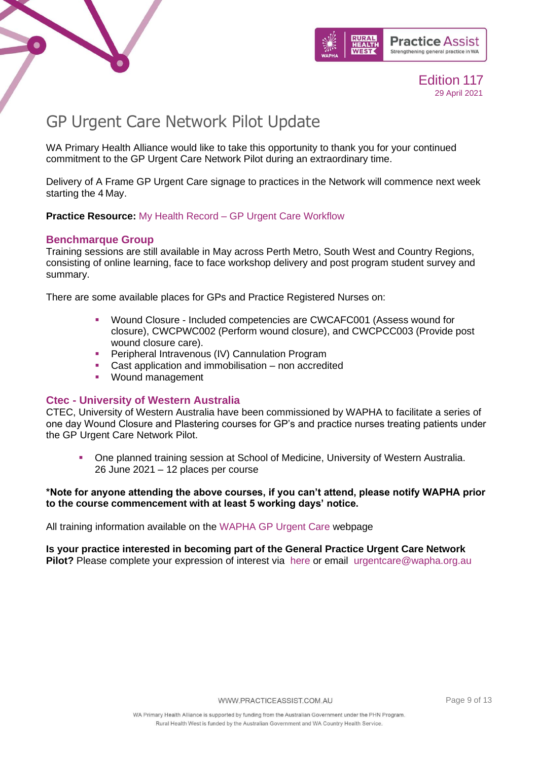



## <span id="page-8-0"></span>GP Urgent Care Network Pilot Update

WA Primary Health Alliance would like to take this opportunity to thank you for your continued commitment to the GP Urgent Care Network Pilot during an extraordinary time.

Delivery of A Frame GP Urgent Care signage to practices in the Network will commence next week starting the 4 May.

**Practice Resource:** My Health Record – [GP Urgent Care Workflow](https://www.practiceassist.com.au/Resource-Library/?keyword=GP%20URGENT%20&page=1)

### **Benchmarque Group**

Training sessions are still available in May across Perth Metro, South West and Country Regions, consisting of online learning, face to face workshop delivery and post program student survey and summary.

There are some available places for GPs and Practice Registered Nurses on:

- Wound Closure Included competencies are CWCAFC001 (Assess wound for closure), CWCPWC002 (Perform wound closure), and CWCPCC003 (Provide post wound closure care).
- **Peripheral Intravenous (IV) Cannulation Program**
- Cast application and immobilisation non accredited
- Wound management

### **Ctec - University of Western Australia**

CTEC, University of Western Australia have been commissioned by WAPHA to facilitate a series of one day Wound Closure and Plastering courses for GP's and practice nurses treating patients under the GP Urgent Care Network Pilot.

One planned training session at School of Medicine, University of Western Australia. 26 June 2021 – 12 places per course

### **\*Note for anyone attending the above courses, if you can't attend, please notify WAPHA prior to the course commencement with at least 5 working days' notice.**

All training information available on the [WAPHA GP Urgent Care](https://www.wapha.org.au/health-professionals/gp-urgent-care/) webpage

## **Is your practice interested in becoming part of the General Practice Urgent Care Network**

**Pilot?** Please complete your expression of interest via [here](https://www.wapha.org.au/health-professionals/gp-urgent-care/) or email [urgentcare@wapha.org.au](mailto:urgentcare@wapha.org.au)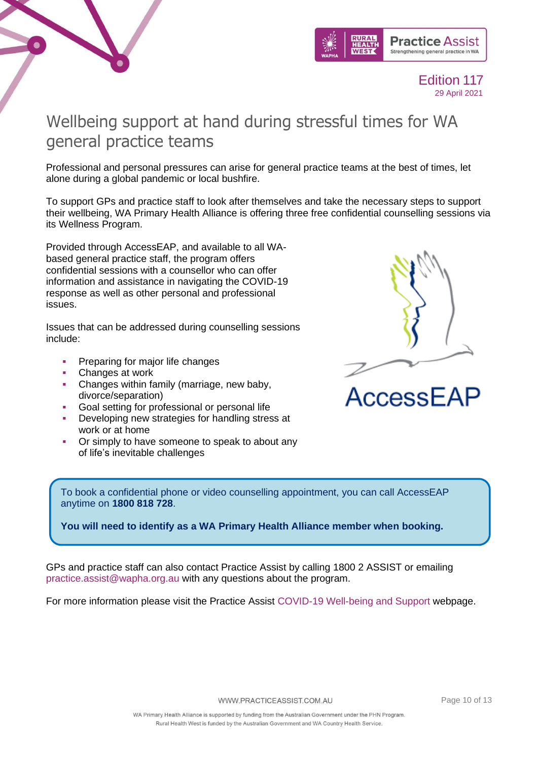



## <span id="page-9-0"></span>Wellbeing support at hand during stressful times for WA general practice teams

Professional and personal pressures can arise for general practice teams at the best of times, let alone during a global pandemic or local bushfire.

To support GPs and practice staff to look after themselves and take the necessary steps to support their wellbeing, WA Primary Health Alliance is offering three free confidential counselling sessions via its Wellness Program.

Provided through AccessEAP, and available to all WAbased general practice staff, the program offers confidential sessions with a counsellor who can offer information and assistance in navigating the COVID-19 response as well as other personal and professional issues.

Issues that can be addressed during counselling sessions include:

- **Preparing for major life changes**
- Changes at work
- **Changes within family (marriage, new baby,** divorce/separation)
- Goal setting for professional or personal life
- Developing new strategies for handling stress at work or at home
- Or simply to have someone to speak to about any of life's inevitable challenges



AccessEAP

To book a confidential phone or video counselling appointment, you can call AccessEAP anytime on **1800 818 728**.

**You will need to identify as a WA Primary Health Alliance member when booking.**

GPs and practice staff can also contact Practice Assist by calling 1800 2 ASSIST or emailing [practice.assist@wapha.org.au](mailto:practice.assist@wapha.org.au) with any questions about the program.

For more information please visit the Practice Assist [COVID-19 Well-being and Support](https://www.practiceassist.com.au/Coronavirus-COVID19/Well-being-and-Support) webpage.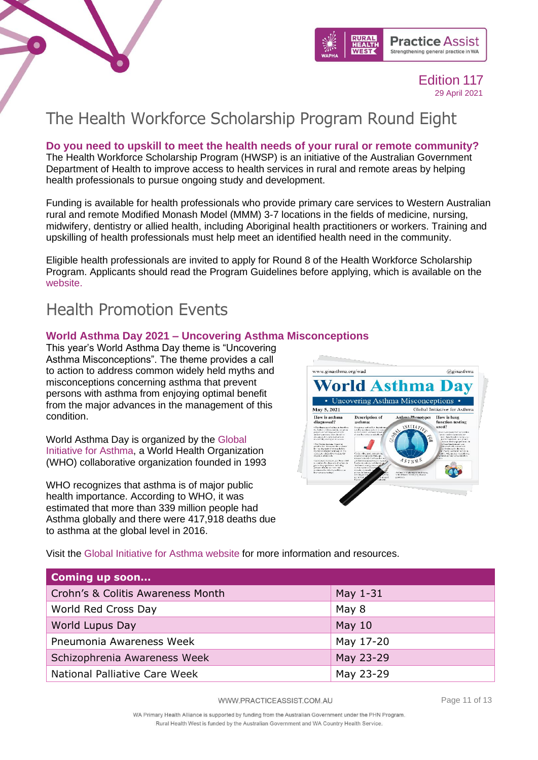



## <span id="page-10-0"></span>The Health Workforce Scholarship Program Round Eight

**Do you need to upskill to meet the health needs of your rural or remote community?** The Health Workforce Scholarship Program (HWSP) is an initiative of the Australian Government Department of Health to improve access to health services in rural and remote areas by helping health professionals to pursue ongoing study and development.

Funding is available for health professionals who provide primary care services to Western Australian rural and remote Modified Monash Model (MMM) 3-7 locations in the fields of medicine, nursing, midwifery, dentistry or allied health, including Aboriginal health practitioners or workers. Training and upskilling of health professionals must help meet an identified health need in the community.

Eligible health professionals are invited to apply for Round 8 of the Health Workforce Scholarship Program. Applicants should read the Program Guidelines before applying, which is available on the [website.](https://linkprotect.cudasvc.com/url?a=https%3a%2f%2fruralhealthwest.cmail19.com%2ft%2fr-l-tlydjiid-okhtdlyhyi-r%2f&c=E,1,n0uNE0r6DGjgtn-mPqvrIlK-OBj5eYCfxhZAmsPqrygjcSD5qF8Y93NDiWjo6__UjRD0_ekUosTtw7aQsJKj2moE6kfXkFFd4ccWqOLn&typo=1)

## <span id="page-10-1"></span>Health Promotion Events

## **World Asthma Day 2021 – Uncovering Asthma Misconceptions**

This year's World Asthma Day theme is "Uncovering Asthma Misconceptions". The theme provides a call to action to address common widely held myths and misconceptions concerning asthma that prevent persons with asthma from enjoying optimal benefit from the major advances in the management of this condition.

World Asthma Day is organized by the [Global](http://www.ginasthma.org/)  [Initiative for Asthma,](http://www.ginasthma.org/) a World Health Organization (WHO) collaborative organization founded in 1993

WHO recognizes that asthma is of major public health importance. According to WHO, it was estimated that more than 339 million people had Asthma globally and there were 417,918 deaths due to asthma at the global level in 2016.



Visit the [Global Initiative for Asthma website](https://ginasthma.org/wad/) for more information and resources.

| <b>Coming up soon</b>             |           |
|-----------------------------------|-----------|
| Crohn's & Colitis Awareness Month | May 1-31  |
| World Red Cross Day               | May 8     |
| World Lupus Day                   | May $10$  |
| Pneumonia Awareness Week          | May 17-20 |
| Schizophrenia Awareness Week      | May 23-29 |
| National Palliative Care Week     | May 23-29 |

WWW.PRACTICEASSIST.COM.AU

Page 11 of 13

WA Primary Health Alliance is supported by funding from the Australian Government under the PHN Program. Rural Health West is funded by the Australian Government and WA Country Health Service.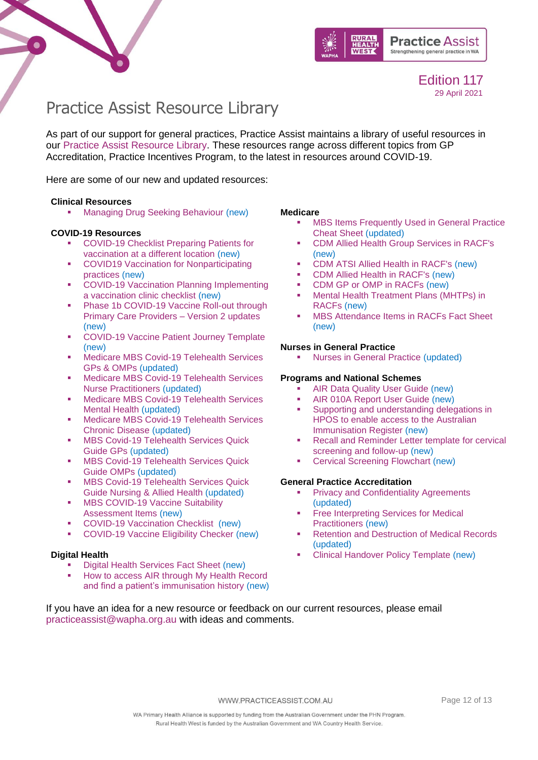



## <span id="page-11-0"></span>Practice Assist Resource Library

As part of our support for general practices, Practice Assist maintains a library of useful resources in our [Practice Assist Resource Library.](https://www.practiceassist.com.au/Resource-Library) These resources range across different topics from GP Accreditation, Practice Incentives Program, to the latest in resources around COVID-19.

Here are some of our new and updated resources:

### **Clinical Resources**

**■** [Managing Drug Seeking Behaviour](https://www.practiceassist.com.au/PracticeAssist/media/ResourceLibrary/Clinical%20Resources/Managing-Drug-Seeking-Behaviour-Fact-Sheet-V2-201201.pdf) (new)

### **COVID-19 Resources**

- COVID-19 Checklist Preparing Patients for [vaccination at a different location](https://www.practiceassist.com.au/PracticeAssist/media/ResourceLibrary/210326-WA-COVID-19-Checklist-Preparing-patients-for-vaccination-at-a-different-location.pdf) (new)
- COVID19 Vaccination for Nonparticipating [practices](https://www.practiceassist.com.au/PracticeAssist/media/ResourceLibrary/COVID19-Vaccination-for-Non-participating-practices-210325.pdf) (new)
- **COVID-19 Vaccination Planning Implementing** [a vaccination clinic checklist](https://www.practiceassist.com.au/PracticeAssist/media/Coronavirus-(COVID-19)/WA-COVID-19-Vaccination-Planning-Checklist-210323.pdf) (new)
- **Phase 1b COVID-19 Vaccine Roll-out through** [Primary Care Providers –](https://www.practiceassist.com.au/PracticeAssist/media/Coronavirus-(COVID-19)/210319_Phase-1B-COVID-19-Vaccine-Roll-out-through-Primary-Care-Providers_V2-Updates-List-(002).pdf) Version 2 updates (new)
- [COVID-19 Vaccine Patient Journey Template](https://www.practiceassist.com.au/PracticeAssist/media/ResourceLibrary/210325-COVID-19-Vaccine-Patient-Journey-Editable.pdf) (new)
- Medicare MBS Covid-19 Telehealth Services [GPs & OMPs](https://www.practiceassist.com.au/PracticeAssist/media/ResourceLibrary/210323-Medicare_MBS-COVID-19-Telehealth-Services-GPs-OMPs.pdf) (updated)
- Medicare MBS Covid-19 Telehealth Services [Nurse Practitioners](https://www.practiceassist.com.au/PracticeAssist/media/ResourceLibrary/210323-Medicare_MBS-COVID-19-Telehealth-Services-Nurse-Practitioners.pdf) (updated)
- Medicare MBS Covid-19 Telehealth Services [Mental Health](https://www.practiceassist.com.au/PracticeAssist/media/ResourceLibrary/210323-Medicare_MBS-COVID-19-Telehealth-Services-Mental-Health.pdf) (updated)
- **■** Medicare MBS Covid-19 Telehealth Services [Chronic Disease](https://www.practiceassist.com.au/PracticeAssist/media/ResourceLibrary/210323-Medicare_MBS-COVID-19-Telehealth-Services-Chronic-Disease.pdf) (updated)
- **MBS Covid-19 Telehealth Services Quick** [Guide GPs](https://www.practiceassist.com.au/PracticeAssist/media/ResourceLibrary/210323-Medicare_MBS-COVID-19-Telehealth-Services-Quick-Guide-GPs.pdf) (updated)
- **MBS Covid-19 Telehealth Services Quick** [Guide OMPs](https://www.practiceassist.com.au/PracticeAssist/media/ResourceLibrary/210323-Medicare_MBS-COVID-19-Telehealth-Services-Quick-Guide-OMPs.pdf) (updated)
- **MBS Covid-19 Telehealth Services Quick** [Guide Nursing & Allied Health](https://www.practiceassist.com.au/PracticeAssist/media/ResourceLibrary/210323-Medicare_MBS-COVID-19-Telehealth-Services-Quick-Guide-Nursing-Allied-Health.pdf) (updated)
- **MBS COVID-19 Vaccine Suitability** [Assessment Items](https://www.practiceassist.com.au/PracticeAssist/media/ResourceLibrary/MBS-COVID-19-Vaccine-suitability-Assessment-Service-Factsheet-210316.pdf) (new)
- [COVID-19 Vaccination Checklist](https://www.practiceassist.com.au/PracticeAssist/media/ResourceLibrary/WA-COVID-19-Vaccination-Checklist-210302.pdf) (new)
- [COVID-19 Vaccine Eligibility Checker](https://covid-vaccine.healthdirect.gov.au/eligibility) (new)

### **Digital Health**

- **Digital [Health Services Fact Sheet](https://www.practiceassist.com.au/PracticeAssist/media/ResourceLibrary/Digital%20Health/Digital-Health-Services-Fact-Sheet-V1-210218.pdf) (new)**
- How to access AIR through My Health Record [and find a patient's immunisation history](https://www.practiceassist.com.au/PracticeAssist/media/ResourceLibrary/Digital%20Health/Accessing-AIR-through-MHR-Fact-Sheet-V2-210413.pdf) (new)

### **Medicare**

- **MBS Items Frequently Used in General Practice** [Cheat Sheet](https://www.practiceassist.com.au/PracticeAssist/media/ResourceLibrary/Medicare%20Benefits%20Schedule/MBS-Items-Frequently-Used-in-General-Practice-Cheat-Sheet-V5-210114_1.pdf) (updated)
- [CDM Allied Health Group Services in RACF's](https://www.practiceassist.com.au/PracticeAssist/media/ResourceLibrary/Medicare%20Benefits%20Schedule/CDM-Allied-Health-Group-Services-in-RACFs-Fact-Sheet-V1-201222.pdf) (new)
- [CDM ATSI Allied Health in RACF's](https://www.practiceassist.com.au/PracticeAssist/media/ResourceLibrary/Medicare%20Benefits%20Schedule/CDM-ATSI-Allied-Health-in-RACFs-Fact-Sheet-V1-201222.pdf) (new)
- [CDM Allied Health in RACF's](https://www.practiceassist.com.au/PracticeAssist/media/ResourceLibrary/Medicare%20Benefits%20Schedule/CDM-Allied-Health-in-RACFs-Fact-Sheet-V1-201222.pdf) (new)
- [CDM GP or OMP in RACFs](https://www.practiceassist.com.au/PracticeAssist/media/ResourceLibrary/Medicare%20Benefits%20Schedule/CDM-GP-or-OMP-in-RACFs-Fact-Sheet-V1-201222.pdf) (new)<br>■ Mental Health Treatment Plans (M)
- Mental Health Treatment Plans (MHTPs) in [RACFs](https://www.practiceassist.com.au/PracticeAssist/media/ResourceLibrary/Medicare%20Benefits%20Schedule/MHTPs-in-RACFs-Fact-Sheet-V1-201222_1.pdf) (new)
- [MBS Attendance Items in RACFs Fact Sheet](https://www.practiceassist.com.au/PracticeAssist/media/ResourceLibrary/Medicare%20Benefits%20Schedule/MBS-Attendance-Items-in-RACFs-Fact-Sheet-210114.pdf) (new)

### **Nurses in General Practice**

**[Nurses in General Practice](https://www.practiceassist.com.au/PracticeAssist/media/ResourceLibrary/Nurses%20in%20general%20practice/Employing-a-Nurse-in-a-General-Practice-Fact-Sheet-V3-201201.pdf) (updated)** 

### **Programs and National Schemes**

- **[AIR Data Quality User Guide](https://www.practiceassist.com.au/PracticeAssist/media/ResourceLibrary/Programs%20and%20National%20Schemes/AIR-Data-Quality-User-Guide-V1-0-Nov-20.pdf) (new)**
- [AIR 010A Report User Guide](https://www.practiceassist.com.au/PracticeAssist/media/ResourceLibrary/Programs%20and%20National%20Schemes/AIR-010A-Report-User-Guide-Nov-2020-V1-0.pdf) (new)
- **•** Supporting and understanding delegations in [HPOS to enable access to the Australian](https://www.practiceassist.com.au/PracticeAssist/media/ResourceLibrary/Programs%20and%20National%20Schemes/HPOS-Supporting-providers_December-2020_Final_0.pdf)  [Immunisation Register](https://www.practiceassist.com.au/PracticeAssist/media/ResourceLibrary/Programs%20and%20National%20Schemes/HPOS-Supporting-providers_December-2020_Final_0.pdf) (new)
- **[Recall and Reminder Letter template](https://www.practiceassist.com.au/PracticeAssist/media/ResourceLibrary/Programs%20and%20National%20Schemes/200206-Recall-and-reminder-letter-templates-for-cervical-screening-and-follow-up-(January-2020).pdf) for cervical** [screening and follow-up](https://www.practiceassist.com.au/PracticeAssist/media/ResourceLibrary/Programs%20and%20National%20Schemes/200206-Recall-and-reminder-letter-templates-for-cervical-screening-and-follow-up-(January-2020).pdf) (new)
- **[Cervical Screening Flowchart](https://www.practiceassist.com.au/PracticeAssist/media/ResourceLibrary/Programs%20and%20National%20Schemes/201201-Cervical-Screening-Pathway.pdf) (new)**

### **General Practice Accreditation**

- **[Privacy and Confidentiality Agreements](https://www.practiceassist.com.au/PracticeAssist/media/ResourceLibrary/General%20Practice%20Accreditation/Privacy-and-Confidentiality-Agreements-Fact-Sheet-V2-201109.pdf)** (updated)
- **Free Interpreting Services for Medical** [Practitioners](https://www.practiceassist.com.au/PracticeAssist/media/ResourceLibrary/General%20Practice%20Accreditation/Free-Interpreting-Services-for-Medical-Practitioners-Fact-Sheet-V1-201118.pdf) (new)
- **[Retention and Destruction of Medical Records](https://www.practiceassist.com.au/PracticeAssist/media/ResourceLibrary/General%20Practice%20Accreditation/Retention-and-Destruction-of-Medical-Records-Fact-Sheet-V2-201104.pdf)** (updated)
- **[Clinical Handover Policy Template](https://www.practiceassist.com.au/PracticeAssist/media/ResourceLibrary/General%20Practice%20Accreditation/Clinical-Handover-Policy-Template-V1-201118-Editable.pdf) (new)**

If you have an idea for a new resource or feedback on our current resources, please email [practiceassist@wapha.org.au](mailto:practiceassist@wapha.org.au) with ideas and comments.